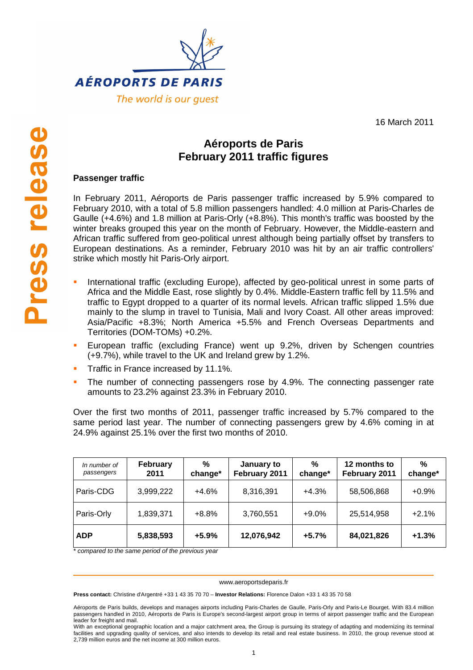

16 March 2011

# **Aéroports de Paris February 2011 traffic figures**

## **Passenger traffic**

In February 2011, Aéroports de Paris passenger traffic increased by 5.9% compared to February 2010, with a total of 5.8 million passengers handled: 4.0 million at Paris-Charles de Gaulle (+4.6%) and 1.8 million at Paris-Orly (+8.8%). This month's traffic was boosted by the winter breaks grouped this year on the month of February. However, the Middle-eastern and African traffic suffered from geo-political unrest although being partially offset by transfers to European destinations. As a reminder, February 2010 was hit by an air traffic controllers' strike which mostly hit Paris-Orly airport.

- International traffic (excluding Europe), affected by geo-political unrest in some parts of Africa and the Middle East, rose slightly by 0.4%. Middle-Eastern traffic fell by 11.5% and traffic to Egypt dropped to a quarter of its normal levels. African traffic slipped 1.5% due mainly to the slump in travel to Tunisia, Mali and Ivory Coast. All other areas improved: Asia/Pacific +8.3%; North America +5.5% and French Overseas Departments and Territories (DOM-TOMs) +0.2%.
- European traffic (excluding France) went up 9.2%, driven by Schengen countries (+9.7%), while travel to the UK and Ireland grew by 1.2%.
- Traffic in France increased by 11.1%.
- The number of connecting passengers rose by 4.9%. The connecting passenger rate amounts to 23.2% against 23.3% in February 2010.

Over the first two months of 2011, passenger traffic increased by 5.7% compared to the same period last year. The number of connecting passengers grew by 4.6% coming in at 24.9% against 25.1% over the first two months of 2010.

| In number of<br>passengers | <b>February</b><br>2011 | %<br>change* | January to<br>February 2011 | %<br>change* | 12 months to<br>February 2011 | %<br>change* |
|----------------------------|-------------------------|--------------|-----------------------------|--------------|-------------------------------|--------------|
| Paris-CDG                  | 3,999,222               | $+4.6%$      | 8,316,391                   | $+4.3%$      | 58,506,868                    | $+0.9%$      |
| Paris-Orly                 | 1,839,371               | $+8.8%$      | 3,760,551                   | $+9.0%$      | 25,514,958                    | $+2.1%$      |
| <b>ADP</b>                 | 5,838,593               | $+5.9%$      | 12,076,942                  | $+5.7%$      | 84,021,826                    | $+1.3%$      |

\* compared to the same period of the previous year

#### www.aeroportsdeparis.fr

**Press contact:** Christine d'Argentré +33 1 43 35 70 70 – **Investor Relations:** Florence Dalon +33 1 43 35 70 58

Aéroports de Paris builds, develops and manages airports including Paris-Charles de Gaulle, Paris-Orly and Paris-Le Bourget. With 83.4 million passengers handled in 2010, Aéroports de Paris is Europe's second-largest airport group in terms of airport passenger traffic and the European leader for freight and mail.

With an exceptional geographic location and a major catchment area, the Group is pursuing its strategy of adapting and modernizing its terminal facilities and upgrading quality of services, and also intends to develop its retail and real estate business. In 2010, the group revenue stood at 2,739 million euros and the net income at 300 million euros.